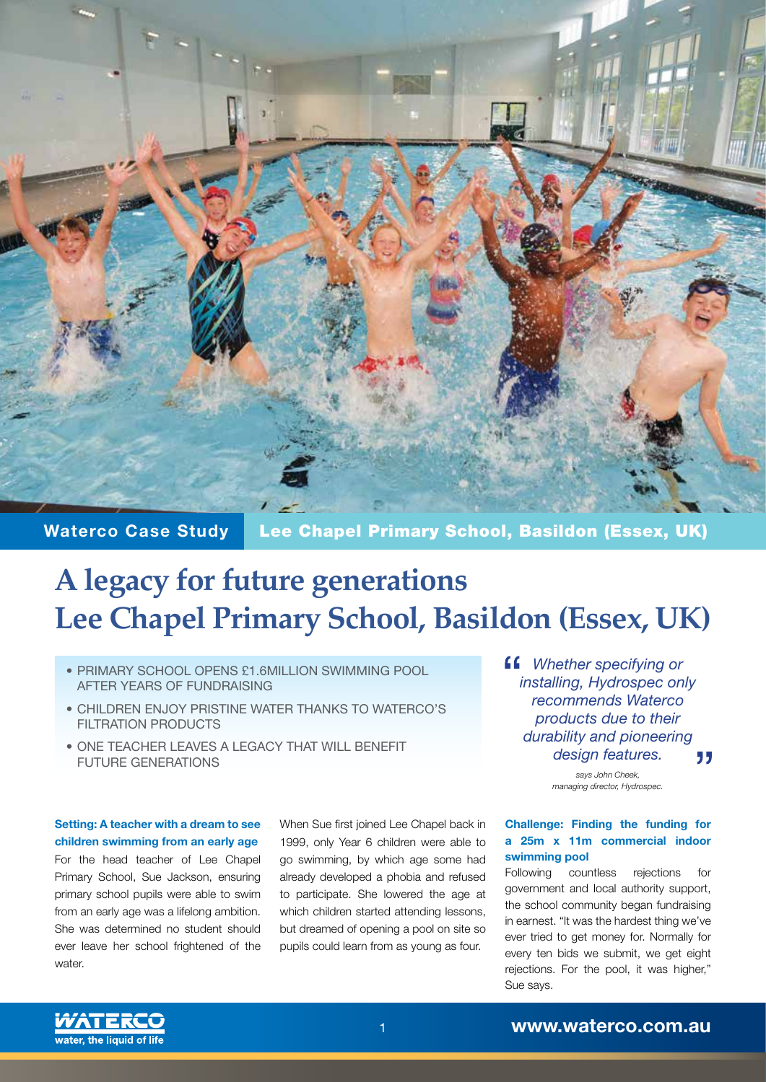

**Waterco Case Study** Lee Chapel Primary School, Basildon (Essex, UK)

## **A legacy for future generations Lee Chapel Primary School, Basildon (Essex, UK)**

- PRIMARY SCHOOL OPENS £1.6MILLION SWIMMING POOL AFTER YEARS OF FUNDRAISING
- CHILDREN ENJOY PRISTINE WATER THANKS TO WATERCO'S FILTRATION PRODUCTS
- ONE TEACHER LEAVES A LEGACY THAT WILL BENEFIT FUTURE GENERATIONS

**Setting: A teacher with a dream to see children swimming from an early age** For the head teacher of Lee Chapel Primary School, Sue Jackson, ensuring primary school pupils were able to swim from an early age was a lifelong ambition. She was determined no student should ever leave her school frightened of the water.

When Sue first joined Lee Chapel back in 1999, only Year 6 children were able to go swimming, by which age some had already developed a phobia and refused to participate. She lowered the age at which children started attending lessons, but dreamed of opening a pool on site so pupils could learn from as young as four.

*Whether specifying or installing, Hydrospec only recommends Waterco products due to their durability and pioneering design features.* 77

> *says John Cheek, managing director, Hydrospec.*

## **Challenge: Finding the funding for a 25m x 11m commercial indoor swimming pool**

Following countless rejections for government and local authority support, the school community began fundraising in earnest. "It was the hardest thing we've ever tried to get money for. Normally for every ten bids we submit, we get eight rejections. For the pool, it was higher," Sue says.